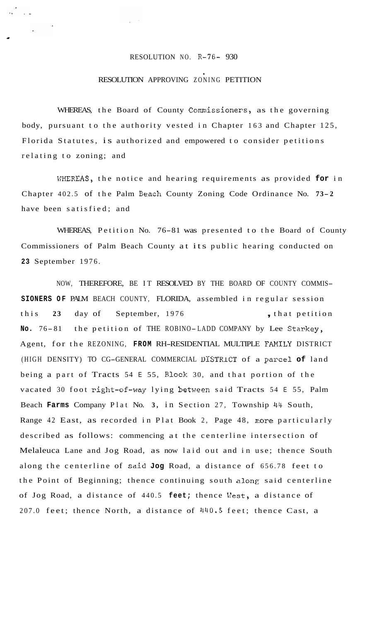## RESOLUTION NO.  $R-76-930$

 $\frac{1}{\sqrt{2}}$  ,  $\frac{1}{\sqrt{2}}$  ,  $\frac{1}{\sqrt{2}}$ 

## RESOLUTION APPROVING ZONING PETITION

WHEREAS, the Board of County Commissioners, as the governing body, pursuant to the authority vested in Chapter 163 and Chapter 125, Florida Statutes, is authorized and empowered to consider petitions relating to zoning; and

WEREAS, the notice and hearing requirements as provided **for** in Chapter 402.5 of the Palm Beach County Zoning Code Ordinance No. 73-2 have been satisfied; and

WHEREAS, Petition No. 76-81 was presented to the Board of County Commissioners of Palm Beach County at its public hearing conducted on **23** September 1976.

NOW, THEREFORE, BE IT RESOLVED BY THE BOARD OF COUNTY COMMIS-**SIONERS OF** PALM BEACH COUNTY, FLORIDA, assembled in regular session this 23 day of September, 1976 , that petition **No.** 76- 81 the petition of THE ROBINO-LADD COMPANY by Lee Starkey, Agent, for the REZONING, **FROM** RH-RESIDENTIAL MULTIPLE FAMILY DISTRICT (HIGH DENSITY) TO CG-GENERAL COMMERCIAL DISTRlCT of a pareel **of** land being a part of Tracts 54 E 55, Block 30, and that portion of the vacated 30 foot right-of-way lying between said Tracts 54 E 55, Palm Beach **Farms** Company Plat No. **3,** in Section 27, Township 44 South, Range 42 East, as recorded in Plat Book 2, Page 48, more particularly described as follows: commencing at the centerline intersection of Melaleuca Lane and Jog Road, as now laid out and in use; thence South along the centerline of **sxid Jog** Road, a distance of 656.78 feet to the Point of Beginning; thence continuing south along said centerline of Jog Road, a distance of 440.5 **feet;** thence \?est, a distance of 207.0 feet; thence North, a distance of 1140.5 feet; thence Cast, a